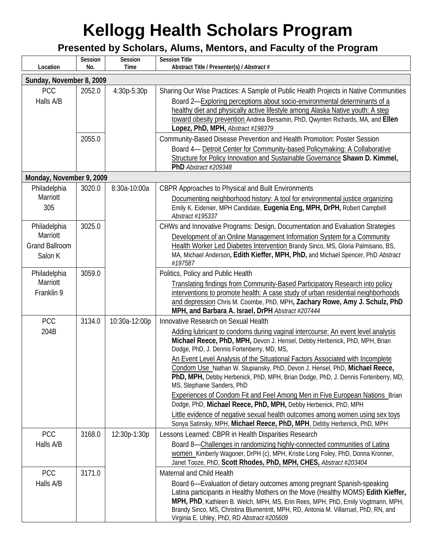| Location                          | Session<br>No. | Session<br>Time | <b>Session Title</b><br>Abstract Title / Presenter(s) / Abstract #                                                                                                                                          |
|-----------------------------------|----------------|-----------------|-------------------------------------------------------------------------------------------------------------------------------------------------------------------------------------------------------------|
| Sunday, November 8, 2009          |                |                 |                                                                                                                                                                                                             |
| <b>PCC</b>                        | 2052.0         | 4:30p-5:30p     | Sharing Our Wise Practices: A Sample of Public Health Projects in Native Communities                                                                                                                        |
| Halls A/B                         |                |                 | Board 2-Exploring perceptions about socio-environmental determinants of a                                                                                                                                   |
|                                   |                |                 | healthy diet and physically active lifestyle among Alaska Native youth: A step                                                                                                                              |
|                                   |                |                 | toward obesity prevention Andrea Bersamin, PhD, Owynten Richards, MA, and Ellen<br>Lopez, PhD, MPH, Abstract #198379                                                                                        |
|                                   | 2055.0         |                 | Community-Based Disease Prevention and Health Promotion: Poster Session                                                                                                                                     |
|                                   |                |                 | Board 4- Detroit Center for Community-based Policymaking: A Collaborative<br>Structure for Policy Innovation and Sustainable Governance Shawn D. Kimmel,                                                    |
|                                   |                |                 | PhD Abstract #209348                                                                                                                                                                                        |
| Monday, November 9, 2009          |                |                 |                                                                                                                                                                                                             |
| Philadelphia<br>Marriott          | 3020.0         | 8:30a-10:00a    | CBPR Approaches to Physical and Built Environments                                                                                                                                                          |
| 305                               |                |                 | Documenting neighborhood history: A tool for environmental justice organizing<br>Emily K. Eidenier, MPH Candidate, Eugenia Eng, MPH, DrPH, Robert Campbell<br>Abstract #195337                              |
| Philadelphia                      | 3025.0         |                 | CHWs and Innovative Programs: Design, Documentation and Evaluation Strategies                                                                                                                               |
| Marriott<br><b>Grand Ballroom</b> |                |                 | Development of an Online Management Information System for a Community<br>Health Worker Led Diabetes Intervention Brandy Sinco, MS, Gloria Palmisano, BS,                                                   |
| Salon K                           |                |                 | MA, Michael Anderson, Edith Kieffer, MPH, PhD, and Michael Spencer, PhD Abstract<br>#197587                                                                                                                 |
| Philadelphia                      | 3059.0         |                 | Politics, Policy and Public Health                                                                                                                                                                          |
| Marriott                          |                |                 | Translating findings from Community-Based Participatory Research into policy                                                                                                                                |
| Franklin 9                        |                |                 | interventions to promote health: A case study of urban residential neighborhoods                                                                                                                            |
|                                   |                |                 | and depression Chris M. Coombe, PhD, MPH, Zachary Rowe, Amy J. Schulz, PhD<br>MPH, and Barbara A. Israel, DrPH Abstract #207444                                                                             |
| PCC                               | 3134.0         | 10:30a-12:00p   | Innovative Research on Sexual Health                                                                                                                                                                        |
| 204B                              |                |                 | Adding lubricant to condoms during vaginal intercourse: An event level analysis<br>Michael Reece, PhD, MPH, Devon J. Hensel, Debby Herbenick, PhD, MPH, Brian<br>Dodge, PhD, J. Dennis Fortenberry, MD, MS, |
|                                   |                |                 | An Event Level Analysis of the Situational Factors Associated with Incomplete                                                                                                                               |
|                                   |                |                 | Condom Use Nathan W. Stupiansky, PhD, Devon J. Hensel, PhD, Michael Reece,<br>PhD, MPH, Debby Herbenick, PhD, MPH, Brian Dodge, PhD, J. Dennis Fortenberry, MD,<br>MS, Stephanie Sanders, PhD               |
|                                   |                |                 | <b>Experiences of Condom Fit and Feel Among Men in Five European Nations Brian</b>                                                                                                                          |
|                                   |                |                 | Dodge, PhD, Michael Reece, PhD, MPH, Debby Herbenick, PhD, MPH                                                                                                                                              |
|                                   |                |                 | Little evidence of negative sexual health outcomes among women using sex toys<br>Sonya Satinsky, MPH, Michael Reece, PhD, MPH, Debby Herbenick, PhD, MPH                                                    |
| PCC                               | 3168.0         | 12:30p-1:30p    | Lessons Learned: CBPR in Health Disparities Research                                                                                                                                                        |
| Halls A/B                         |                |                 | Board 8-Challenges in randomizing highly-connected communities of Latina                                                                                                                                    |
|                                   |                |                 | women Kimberly Wagoner, DrPH (c), MPH, Kristie Long Foley, PhD, Donna Kronner,                                                                                                                              |
|                                   |                |                 | Janet Tooze, PhD, Scott Rhodes, PhD, MPH, CHES, Abstract #203404                                                                                                                                            |
| PCC                               | 3171.0         |                 | Maternal and Child Health                                                                                                                                                                                   |
| Halls A/B                         |                |                 | Board 6-Evaluation of dietary outcomes among pregnant Spanish-speaking                                                                                                                                      |
|                                   |                |                 | Latina participants in Healthy Mothers on the Move (Healthy MOMS) Edith Kieffer,                                                                                                                            |
|                                   |                |                 | MPH, PhD, Kathleen B. Welch, MPH, MS, Erin Rees, MPH, PhD, Emily Vogtmann, MPH,<br>Brandy Sinco, MS, Christina Blumentritt, MPH, RD, Antonia M. Villarruel, PhD, RN, and                                    |
|                                   |                |                 | Virginia E. Uhley, PhD, RD Abstract #205609                                                                                                                                                                 |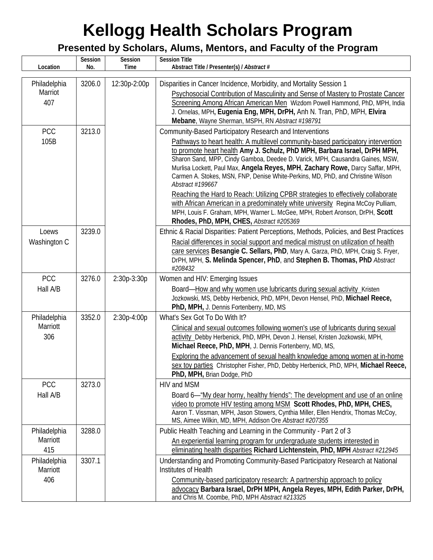| Location                        | Session<br>No. | Session<br>Time | <b>Session Title</b><br>Abstract Title / Presenter(s) / Abstract #                                                                                                                                                                                                                                                                                                                                                                                                                                                                                                                                                                                                                                                                                                                                      |
|---------------------------------|----------------|-----------------|---------------------------------------------------------------------------------------------------------------------------------------------------------------------------------------------------------------------------------------------------------------------------------------------------------------------------------------------------------------------------------------------------------------------------------------------------------------------------------------------------------------------------------------------------------------------------------------------------------------------------------------------------------------------------------------------------------------------------------------------------------------------------------------------------------|
| Philadelphia<br>Marriot<br>407  | 3206.0         | 12:30p-2:00p    | Disparities in Cancer Incidence, Morbidity, and Mortality Session 1<br>Psychosocial Contribution of Masculinity and Sense of Mastery to Prostate Cancer<br>Screening Among African American Men Wizdom Powell Hammond, PhD, MPH, India<br>J. Ornelas, MPH, Eugenia Eng, MPH, DrPH, Anh N. Tran, PhD, MPH, Elvira<br>Mebane, Wayne Sherman, MSPH, RN Abstract #198791                                                                                                                                                                                                                                                                                                                                                                                                                                    |
| PCC<br>105B                     | 3213.0         |                 | Community-Based Participatory Research and Interventions<br>Pathways to heart health: A multilevel community-based participatory intervention<br>to promote heart health Amy J. Schulz, PhD MPH, Barbara Israel, DrPH MPH,<br>Sharon Sand, MPP, Cindy Gamboa, Deedee D. Varick, MPH, Causandra Gaines, MSW,<br>Murlisa Lockett, Paul Max, Angela Reyes, MPH, Zachary Rowe, Darcy Saffar, MPH,<br>Carmen A. Stokes, MSN, FNP, Denise White-Perkins, MD, PhD, and Christine Wilson<br>Abstract #199667<br>Reaching the Hard to Reach: Utilizing CPBR strategies to effectively collaborate<br>with African American in a predominately white university Regina McCoy Pulliam,<br>MPH, Louis F. Graham, MPH, Warner L. McGee, MPH, Robert Aronson, DrPH, Scott<br>Rhodes, PhD, MPH, CHES, Abstract #205369 |
| Loews<br>Washington C           | 3239.0         |                 | Ethnic & Racial Disparities: Patient Perceptions, Methods, Policies, and Best Practices<br>Racial differences in social support and medical mistrust on utilization of health<br>care services Besangie C. Sellars, PhD, Mary A. Garza, PhD, MPH, Craig S. Fryer,<br>DrPH, MPH, S. Melinda Spencer, PhD, and Stephen B. Thomas, PhD Abstract<br>#208432                                                                                                                                                                                                                                                                                                                                                                                                                                                 |
| PCC<br>Hall A/B                 | 3276.0         | 2:30p-3:30p     | Women and HIV: Emerging Issues<br>Board-How and why women use lubricants during sexual activity_Kristen<br>Jozkowski, MS, Debby Herbenick, PhD, MPH, Devon Hensel, PhD, Michael Reece,<br>PhD, MPH, J. Dennis Fortenberry, MD, MS                                                                                                                                                                                                                                                                                                                                                                                                                                                                                                                                                                       |
| Philadelphia<br>Marriott<br>306 | 3352.0         | 2:30p-4:00p     | What's Sex Got To Do With It?<br>Clinical and sexual outcomes following women's use of lubricants during sexual<br>activity_Debby Herbenick, PhD, MPH, Devon J. Hensel, Kristen Jozkowski, MPH,<br>Michael Reece, PhD, MPH, J. Dennis Fortenberry, MD, MS,<br>Exploring the advancement of sexual health knowledge among women at in-home<br>sex toy parties Christopher Fisher, PhD, Debby Herbenick, PhD, MPH, Michael Reece,<br>PhD, MPH, Brian Dodge, PhD                                                                                                                                                                                                                                                                                                                                           |
| PCC<br>Hall A/B                 | 3273.0         |                 | <b>HIV and MSM</b><br>Board 6—"My dear horny, healthy friends": The development and use of an online<br>video to promote HIV testing among MSM Scott Rhodes, PhD, MPH, CHES,<br>Aaron T. Vissman, MPH, Jason Stowers, Cynthia Miller, Ellen Hendrix, Thomas McCoy,<br>MS, Aimee Wilkin, MD, MPH, Addison Ore Abstract #207355                                                                                                                                                                                                                                                                                                                                                                                                                                                                           |
| Philadelphia<br>Marriott<br>415 | 3288.0         |                 | Public Health Teaching and Learning in the Community - Part 2 of 3<br>An experiential learning program for undergraduate students interested in<br>eliminating health disparities Richard Lichtenstein, PhD, MPH Abstract #212945                                                                                                                                                                                                                                                                                                                                                                                                                                                                                                                                                                       |
| Philadelphia<br>Marriott<br>406 | 3307.1         |                 | Understanding and Promoting Community-Based Participatory Research at National<br>Institutes of Health<br>Community-based participatory research: A partnership approach to policy<br>advocacy Barbara Israel, DrPH MPH, Angela Reyes, MPH, Edith Parker, DrPH,<br>and Chris M. Coombe, PhD, MPH Abstract #213325                                                                                                                                                                                                                                                                                                                                                                                                                                                                                       |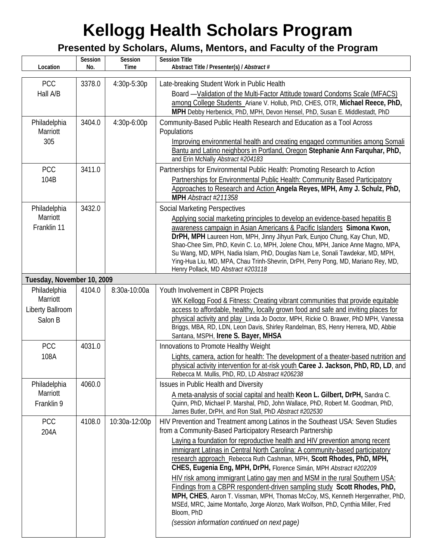| Location                     | Session<br>No. | Session<br>Time | <b>Session Title</b><br>Abstract Title / Presenter(s) / Abstract #                                                                                                                               |
|------------------------------|----------------|-----------------|--------------------------------------------------------------------------------------------------------------------------------------------------------------------------------------------------|
| <b>PCC</b>                   | 3378.0         | 4:30p-5:30p     | Late-breaking Student Work in Public Health                                                                                                                                                      |
| Hall A/B                     |                |                 | Board -Validation of the Multi-Factor Attitude toward Condoms Scale (MFACS)                                                                                                                      |
|                              |                |                 | among College Students_Ariane V. Hollub, PhD, CHES, OTR, Michael Reece, PhD,<br>MPH Debby Herbenick, PhD, MPH, Devon Hensel, PhD, Susan E. Middlestadt, PhD                                      |
| Philadelphia                 | 3404.0         | 4:30p-6:00p     | Community-Based Public Health Research and Education as a Tool Across                                                                                                                            |
| Marriott                     |                |                 | Populations                                                                                                                                                                                      |
| 305                          |                |                 | Improving environmental health and creating engaged communities among Somali<br>Bantu and Latino neighbors in Portland, Oregon Stephanie Ann Farquhar, PhD,<br>and Erin McNally Abstract #204183 |
| <b>PCC</b>                   | 3411.0         |                 | Partnerships for Environmental Public Health: Promoting Research to Action                                                                                                                       |
| 104B                         |                |                 | Partnerships for Environmental Public Health: Community Based Participatory                                                                                                                      |
|                              |                |                 | Approaches to Research and Action Angela Reyes, MPH, Amy J. Schulz, PhD,<br>MPH Abstract #211358                                                                                                 |
| Philadelphia                 | 3432.0         |                 | <b>Social Marketing Perspectives</b>                                                                                                                                                             |
| Marriott                     |                |                 | Applying social marketing principles to develop an evidence-based hepatitis B                                                                                                                    |
| Franklin 11                  |                |                 | awareness campaign in Asian Americans & Pacific Islanders Simona Kwon,<br>DrPH, MPH Laureen Hom, MPH, Jinny Jihyun Park, Eunjoo Chung, Kay Chun, MD,                                             |
|                              |                |                 | Shao-Chee Sim, PhD, Kevin C. Lo, MPH, Jolene Chou, MPH, Janice Anne Magno, MPA,                                                                                                                  |
|                              |                |                 | Su Wang, MD, MPH, Nadia Islam, PhD, Douglas Nam Le, Sonali Tawdekar, MD, MPH,<br>Ying-Hua Liu, MD, MPA, Chau Trinh-Shevrin, DrPH, Perry Pong, MD, Mariano Rey, MD,                               |
|                              |                |                 | Henry Pollack, MD Abstract #203118                                                                                                                                                               |
| Tuesday, November 10, 2009   |                |                 |                                                                                                                                                                                                  |
| Philadelphia                 | 4104.0         | 8:30a-10:00a    | Youth Involvement in CBPR Projects                                                                                                                                                               |
| Marriott<br>Liberty Ballroom |                |                 | WK Kellogg Food & Fitness: Creating vibrant communities that provide equitable<br>access to affordable, healthy, locally grown food and safe and inviting places for                             |
| Salon B                      |                |                 | physical activity and play Linda Jo Doctor, MPH, Rickie O. Brawer, PhD MPH, Vanessa                                                                                                              |
|                              |                |                 | Briggs, MBA, RD, LDN, Leon Davis, Shirley Randelman, BS, Henry Herrera, MD, Abbie                                                                                                                |
| <b>PCC</b>                   | 4031.0         |                 | Santana, MSPH, Irene S. Bayer, MHSA<br>Innovations to Promote Healthy Weight                                                                                                                     |
| 108A                         |                |                 | Lights, camera, action for health: The development of a theater-based nutrition and                                                                                                              |
|                              |                |                 | physical activity intervention for at-risk youth Caree J. Jackson, PhD, RD, LD, and                                                                                                              |
|                              |                |                 | Rebecca M. Mullis, PhD, RD, LD Abstract #206238                                                                                                                                                  |
| Philadelphia<br>Marriott     | 4060.0         |                 | Issues in Public Health and Diversity                                                                                                                                                            |
| Franklin 9                   |                |                 | A meta-analysis of social capital and health Keon L. Gilbert, DrPH, Sandra C.<br>Quinn, PhD, Michael P. Marshal, PhD, John Wallace, PhD, Robert M. Goodman, PhD,                                 |
|                              |                |                 | James Butler, DrPH, and Ron Stall, PhD Abstract #202530                                                                                                                                          |
| PCC<br>204A                  | 4108.0         | 10:30a-12:00p   | HIV Prevention and Treatment among Latinos in the Southeast USA: Seven Studies<br>from a Community-Based Participatory Research Partnership                                                      |
|                              |                |                 | Laying a foundation for reproductive health and HIV prevention among recent                                                                                                                      |
|                              |                |                 | immigrant Latinas in Central North Carolina: A community-based participatory<br>research approach_Rebecca Ruth Cashman, MPH, Scott Rhodes, PhD, MPH,                                             |
|                              |                |                 | CHES, Eugenia Eng, MPH, DrPH, Florence Simán, MPH Abstract #202209                                                                                                                               |
|                              |                |                 | HIV risk among immigrant Latino gay men and MSM in the rural Southern USA:                                                                                                                       |
|                              |                |                 | Findings from a CBPR respondent-driven sampling study Scott Rhodes, PhD,<br>MPH, CHES, Aaron T. Vissman, MPH, Thomas McCoy, MS, Kenneth Hergenrather, PhD,                                       |
|                              |                |                 | MSEd, MRC, Jaime Montaño, Jorge Alonzo, Mark Wolfson, PhD, Cynthia Miller, Fred                                                                                                                  |
|                              |                |                 | Bloom, PhD<br>(session information continued on next page)                                                                                                                                       |
|                              |                |                 |                                                                                                                                                                                                  |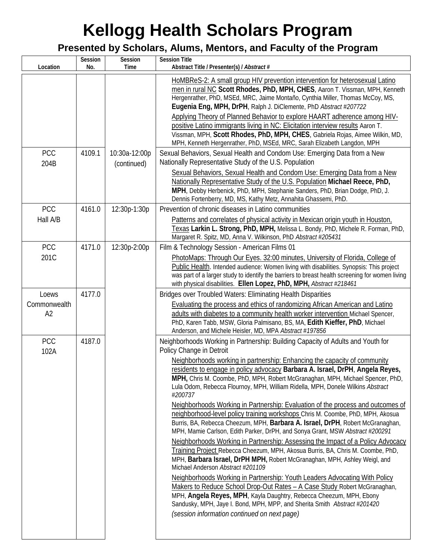| Location              | Session<br>No. | Session<br>Time | <b>Session Title</b><br>Abstract Title / Presenter(s) / Abstract #                                                                                                                                                                                                                                                                                                                                                                                                                                                                                                                                                                                                                                                                                                                                                                                                                                                                                                                                                                                                                                                                                                                                                                                                                                                                        |
|-----------------------|----------------|-----------------|-------------------------------------------------------------------------------------------------------------------------------------------------------------------------------------------------------------------------------------------------------------------------------------------------------------------------------------------------------------------------------------------------------------------------------------------------------------------------------------------------------------------------------------------------------------------------------------------------------------------------------------------------------------------------------------------------------------------------------------------------------------------------------------------------------------------------------------------------------------------------------------------------------------------------------------------------------------------------------------------------------------------------------------------------------------------------------------------------------------------------------------------------------------------------------------------------------------------------------------------------------------------------------------------------------------------------------------------|
|                       |                |                 | HoMBReS-2: A small group HIV prevention intervention for heterosexual Latino<br>men in rural NC Scott Rhodes, PhD, MPH, CHES, Aaron T. Vissman, MPH, Kenneth<br>Hergenrather, PhD, MSEd, MRC, Jaime Montaño, Cynthia Miller, Thomas McCoy, MS,<br>Eugenia Eng, MPH, DrPH, Ralph J. DiClemente, PhD Abstract #207722<br>Applying Theory of Planned Behavior to explore HAART adherence among HIV-<br>positive Latino immigrants living in NC: Elicitation interview results Aaron T.<br>Vissman, MPH, Scott Rhodes, PhD, MPH, CHES, Gabriela Rojas, Aimee Wilkin, MD,<br>MPH, Kenneth Hergenrather, PhD, MSEd, MRC, Sarah Elizabeth Langdon, MPH                                                                                                                                                                                                                                                                                                                                                                                                                                                                                                                                                                                                                                                                                           |
| PCC                   | 4109.1         | 10:30a-12:00p   | Sexual Behaviors, Sexual Health and Condom Use: Emerging Data from a New<br>Nationally Representative Study of the U.S. Population                                                                                                                                                                                                                                                                                                                                                                                                                                                                                                                                                                                                                                                                                                                                                                                                                                                                                                                                                                                                                                                                                                                                                                                                        |
| 204B                  |                | (continued)     | Sexual Behaviors, Sexual Health and Condom Use: Emerging Data from a New<br>Nationally Representative Study of the U.S. Population Michael Reece, PhD,<br>MPH, Debby Herbenick, PhD, MPH, Stephanie Sanders, PhD, Brian Dodge, PhD, J.<br>Dennis Fortenberry, MD, MS, Kathy Metz, Annahita Ghassemi, PhD.                                                                                                                                                                                                                                                                                                                                                                                                                                                                                                                                                                                                                                                                                                                                                                                                                                                                                                                                                                                                                                 |
| <b>PCC</b>            | 4161.0         | 12:30p-1:30p    | Prevention of chronic diseases in Latino communities                                                                                                                                                                                                                                                                                                                                                                                                                                                                                                                                                                                                                                                                                                                                                                                                                                                                                                                                                                                                                                                                                                                                                                                                                                                                                      |
| Hall A/B              |                |                 | Patterns and correlates of physical activity in Mexican origin youth in Houston,<br>Texas Larkin L. Strong, PhD, MPH, Melissa L. Bondy, PhD, Michele R. Forman, PhD,<br>Margaret R. Spitz, MD, Anna V. Wilkinson, PhD Abstract #205431                                                                                                                                                                                                                                                                                                                                                                                                                                                                                                                                                                                                                                                                                                                                                                                                                                                                                                                                                                                                                                                                                                    |
| <b>PCC</b>            | 4171.0         | 12:30p-2:00p    | Film & Technology Session - American Films 01                                                                                                                                                                                                                                                                                                                                                                                                                                                                                                                                                                                                                                                                                                                                                                                                                                                                                                                                                                                                                                                                                                                                                                                                                                                                                             |
| 201C                  |                |                 | PhotoMaps: Through Our Eyes. 32:00 minutes, University of Florida, College of<br>Public Health. Intended audience: Women living with disabilities. Synopsis: This project<br>was part of a larger study to identify the barriers to breast health screening for women living<br>with physical disabilities. Ellen Lopez, PhD, MPH, Abstract #218461                                                                                                                                                                                                                                                                                                                                                                                                                                                                                                                                                                                                                                                                                                                                                                                                                                                                                                                                                                                       |
| Loews<br>Commonwealth | 4177.0         |                 | Bridges over Troubled Waters: Eliminating Health Disparities<br>Evaluating the process and ethics of randomizing African American and Latino                                                                                                                                                                                                                                                                                                                                                                                                                                                                                                                                                                                                                                                                                                                                                                                                                                                                                                                                                                                                                                                                                                                                                                                              |
| A <sub>2</sub>        |                |                 | adults with diabetes to a community health worker intervention Michael Spencer,<br>PhD, Karen Tabb, MSW, Gloria Palmisano, BS, MA, Edith Kieffer, PhD, Michael<br>Anderson, and Michele Heisler, MD, MPA Abstract #197856                                                                                                                                                                                                                                                                                                                                                                                                                                                                                                                                                                                                                                                                                                                                                                                                                                                                                                                                                                                                                                                                                                                 |
| <b>PCC</b><br>102A    | 4187.0         |                 | Neighborhoods Working in Partnership: Building Capacity of Adults and Youth for<br>Policy Change in Detroit                                                                                                                                                                                                                                                                                                                                                                                                                                                                                                                                                                                                                                                                                                                                                                                                                                                                                                                                                                                                                                                                                                                                                                                                                               |
|                       |                |                 | Neighborhoods working in partnership: Enhancing the capacity of community<br>residents to engage in policy advocacy Barbara A. Israel, DrPH, Angela Reyes,<br>MPH, Chris M. Coombe, PhD, MPH, Robert McGranaghan, MPH, Michael Spencer, PhD,<br>Lula Odom, Rebecca Flournoy, MPH, William Ridella, MPH, Donele Wilkins Abstract<br>#200737<br>Neighborhoods Working in Partnership: Evaluation of the process and outcomes of<br>neighborhood-level policy training workshops Chris M. Coombe, PhD, MPH, Akosua<br>Burris, BA, Rebecca Cheezum, MPH, Barbara A. Israel, DrPH, Robert McGranaghan,<br>MPH, Mamie Carlson, Edith Parker, DrPH, and Sonya Grant, MSW Abstract #200291<br>Neighborhoods Working in Partnership: Assessing the Impact of a Policy Advocacy<br>Training Project Rebecca Cheezum, MPH, Akosua Burris, BA, Chris M. Coombe, PhD,<br>MPH, Barbara Israel, DrPH MPH, Robert McGranaghan, MPH, Ashley Weigl, and<br>Michael Anderson Abstract #201109<br>Neighborhoods Working in Partnership: Youth Leaders Advocating With Policy<br>Makers to Reduce School Drop-Out Rates - A Case Study Robert McGranaghan,<br>MPH, Angela Reyes, MPH, Kayla Daughtry, Rebecca Cheezum, MPH, Ebony<br>Sandusky, MPH, Jaye I. Bond, MPH, MPP, and Sherita Smith Abstract #201420<br>(session information continued on next page) |
|                       |                |                 |                                                                                                                                                                                                                                                                                                                                                                                                                                                                                                                                                                                                                                                                                                                                                                                                                                                                                                                                                                                                                                                                                                                                                                                                                                                                                                                                           |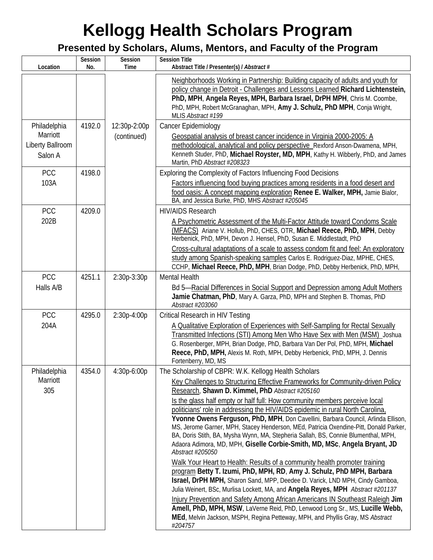| Location                                                | Session<br>No. | Session<br>Time             | <b>Session Title</b><br>Abstract Title / Presenter(s) / Abstract #                                                                                                                                                                                                                                                                                                                                                                                                                                                                                                                                                                                                                                                                                                                                                                                                                                                                                                                                                                                                                                                                                                                                                                                                                                                      |
|---------------------------------------------------------|----------------|-----------------------------|-------------------------------------------------------------------------------------------------------------------------------------------------------------------------------------------------------------------------------------------------------------------------------------------------------------------------------------------------------------------------------------------------------------------------------------------------------------------------------------------------------------------------------------------------------------------------------------------------------------------------------------------------------------------------------------------------------------------------------------------------------------------------------------------------------------------------------------------------------------------------------------------------------------------------------------------------------------------------------------------------------------------------------------------------------------------------------------------------------------------------------------------------------------------------------------------------------------------------------------------------------------------------------------------------------------------------|
|                                                         |                |                             | Neighborhoods Working in Partnership: Building capacity of adults and youth for<br>policy change in Detroit - Challenges and Lessons Learned Richard Lichtenstein,<br>PhD, MPH, Angela Reyes, MPH, Barbara Israel, DrPH MPH, Chris M. Coombe,<br>PhD, MPH, Robert McGranaghan, MPH, Amy J. Schulz, PhD MPH, Conja Wright,<br>MLIS Abstract #199                                                                                                                                                                                                                                                                                                                                                                                                                                                                                                                                                                                                                                                                                                                                                                                                                                                                                                                                                                         |
| Philadelphia<br>Marriott<br>Liberty Ballroom<br>Salon A | 4192.0         | 12:30p-2:00p<br>(continued) | Cancer Epidemiology<br>Geospatial analysis of breast cancer incidence in Virginia 2000-2005: A<br>methodological, analytical and policy perspective Rexford Anson-Dwamena, MPH,<br>Kenneth Studer, PhD, Michael Royster, MD, MPH, Kathy H. Wibberly, PhD, and James<br>Martin, PhD Abstract #208323                                                                                                                                                                                                                                                                                                                                                                                                                                                                                                                                                                                                                                                                                                                                                                                                                                                                                                                                                                                                                     |
| <b>PCC</b><br>103A                                      | 4198.0         |                             | Exploring the Complexity of Factors Influencing Food Decisions<br>Factors influencing food buying practices among residents in a food desert and<br>food oasis: A concept mapping exploration Renee E. Walker, MPH, Jamie Bialor,<br>BA, and Jessica Burke, PhD, MHS Abstract #205045                                                                                                                                                                                                                                                                                                                                                                                                                                                                                                                                                                                                                                                                                                                                                                                                                                                                                                                                                                                                                                   |
| <b>PCC</b><br>202B                                      | 4209.0         |                             | <b>HIV/AIDS Research</b><br>A Psychometric Assessment of the Multi-Factor Attitude toward Condoms Scale<br>(MFACS) Ariane V. Hollub, PhD, CHES, OTR, Michael Reece, PhD, MPH, Debby<br>Herbenick, PhD, MPH, Devon J. Hensel, PhD, Susan E. Middlestadt, PhD<br>Cross-cultural adaptations of a scale to assess condom fit and feel: An exploratory<br>study among Spanish-speaking samples Carlos E. Rodriguez-Diaz, MPHE, CHES,<br>CCHP, Michael Reece, PhD, MPH, Brian Dodge, PhD, Debby Herbenick, PhD, MPH,                                                                                                                                                                                                                                                                                                                                                                                                                                                                                                                                                                                                                                                                                                                                                                                                         |
| <b>PCC</b><br>Halls A/B                                 | 4251.1         | 2:30p-3:30p                 | <b>Mental Health</b><br>Bd 5-Racial Differences in Social Support and Depression among Adult Mothers<br>Jamie Chatman, PhD, Mary A. Garza, PhD, MPH and Stephen B. Thomas, PhD<br>Abstract #203060                                                                                                                                                                                                                                                                                                                                                                                                                                                                                                                                                                                                                                                                                                                                                                                                                                                                                                                                                                                                                                                                                                                      |
| PCC<br>204A                                             | 4295.0         | 2:30p-4:00p                 | Critical Research in HIV Testing<br>A Qualitative Exploration of Experiences with Self-Sampling for Rectal Sexually<br>Transmitted Infections (STI) Among Men Who Have Sex with Men (MSM) Joshua<br>G. Rosenberger, MPH, Brian Dodge, PhD, Barbara Van Der Pol, PhD, MPH, Michael<br>Reece, PhD, MPH, Alexis M. Roth, MPH, Debby Herbenick, PhD, MPH, J. Dennis<br>Fortenberry, MD, MS                                                                                                                                                                                                                                                                                                                                                                                                                                                                                                                                                                                                                                                                                                                                                                                                                                                                                                                                  |
| Philadelphia<br>Marriott<br>305                         | 4354.0         | $4:30p-6:00p$               | The Scholarship of CBPR: W.K. Kellogg Health Scholars<br>Key Challenges to Structuring Effective Frameworks for Community-driven Policy<br>Research, Shawn D. Kimmel, PhD Abstract #205160<br>Is the glass half empty or half full: How community members perceive local<br>politicians' role in addressing the HIV/AIDS epidemic in rural North Carolina,<br>Yvonne Owens Ferguson, PhD, MPH, Don Cavellini, Barbara Council, Arlinda Ellison,<br>MS, Jerome Garner, MPH, Stacey Henderson, MEd, Patricia Oxendine-Pitt, Donald Parker,<br>BA, Doris Stith, BA, Mysha Wynn, MA, Stepheria Sallah, BS, Connie Blumenthal, MPH,<br>Adaora Adimora, MD, MPH, Giselle Corbie-Smith, MD, MSc, Angela Bryant, JD<br>Abstract #205050<br>Walk Your Heart to Health: Results of a community health promoter training<br>program Betty T. Izumi, PhD, MPH, RD, Amy J. Schulz, PhD MPH, Barbara<br>Israel, DrPH MPH, Sharon Sand, MPP, Deedee D. Varick, LND MPH, Cindy Gamboa,<br>Julia Weinert, BSc, Murlisa Lockett, MA, and Angela Reyes, MPH Abstract #201137<br>Injury Prevention and Safety Among African Americans IN Southeast Raleigh Jim<br>Amell, PhD, MPH, MSW, LaVerne Reid, PhD, Lenwood Long Sr., MS, Lucille Webb,<br>MEd, Melvin Jackson, MSPH, Regina Petteway, MPH, and Phyllis Gray, MS Abstract<br>#204757 |